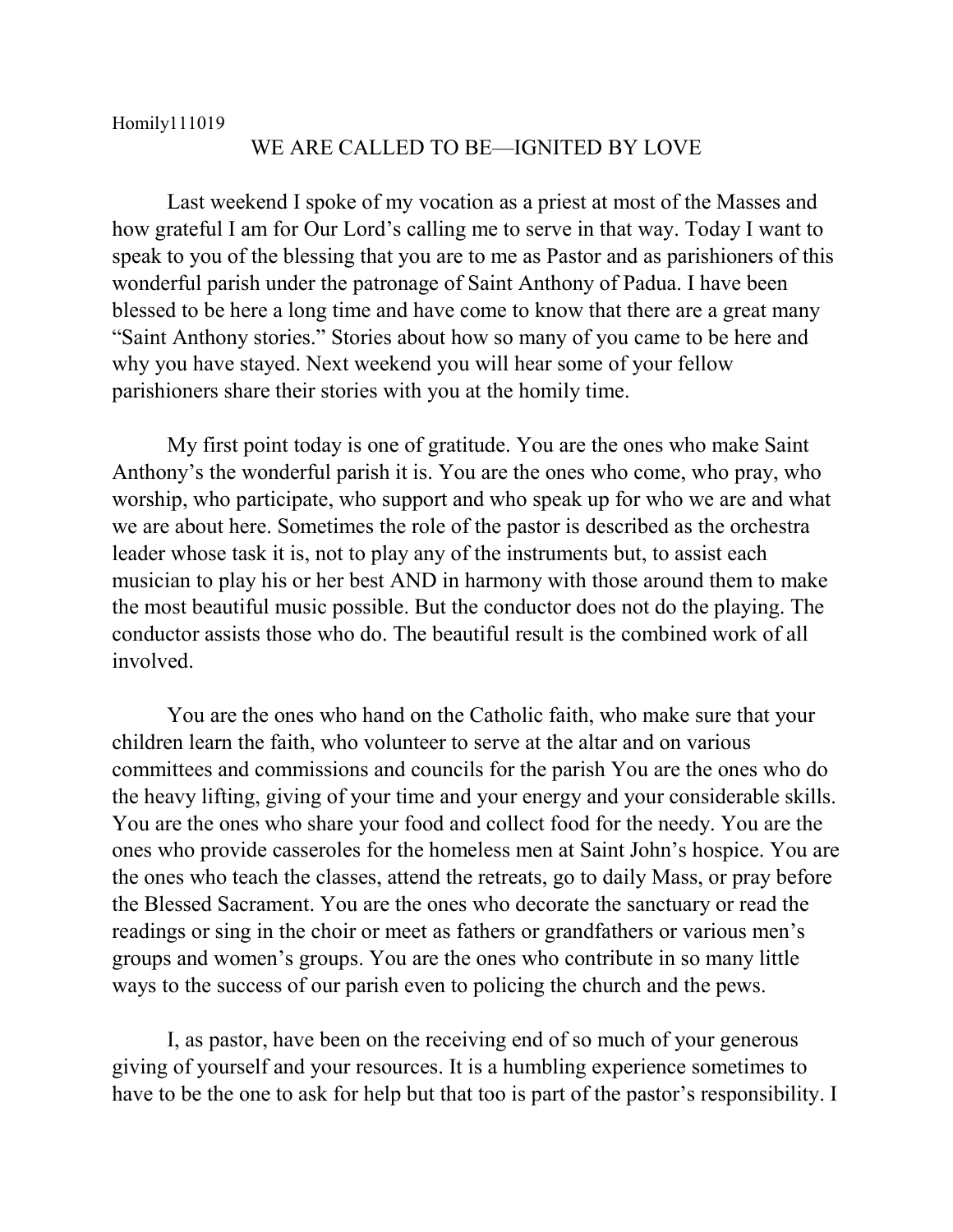## WE ARE CALLED TO BE—IGNITED BY LOVE

Last weekend I spoke of my vocation as a priest at most of the Masses and how grateful I am for Our Lord's calling me to serve in that way. Today I want to speak to you of the blessing that you are to me as Pastor and as parishioners of this wonderful parish under the patronage of Saint Anthony of Padua. I have been blessed to be here a long time and have come to know that there are a great many "Saint Anthony stories." Stories about how so many of you came to be here and why you have stayed. Next weekend you will hear some of your fellow parishioners share their stories with you at the homily time.

My first point today is one of gratitude. You are the ones who make Saint Anthony's the wonderful parish it is. You are the ones who come, who pray, who worship, who participate, who support and who speak up for who we are and what we are about here. Sometimes the role of the pastor is described as the orchestra leader whose task it is, not to play any of the instruments but, to assist each musician to play his or her best AND in harmony with those around them to make the most beautiful music possible. But the conductor does not do the playing. The conductor assists those who do. The beautiful result is the combined work of all involved.

You are the ones who hand on the Catholic faith, who make sure that your children learn the faith, who volunteer to serve at the altar and on various committees and commissions and councils for the parish You are the ones who do the heavy lifting, giving of your time and your energy and your considerable skills. You are the ones who share your food and collect food for the needy. You are the ones who provide casseroles for the homeless men at Saint John's hospice. You are the ones who teach the classes, attend the retreats, go to daily Mass, or pray before the Blessed Sacrament. You are the ones who decorate the sanctuary or read the readings or sing in the choir or meet as fathers or grandfathers or various men's groups and women's groups. You are the ones who contribute in so many little ways to the success of our parish even to policing the church and the pews.

I, as pastor, have been on the receiving end of so much of your generous giving of yourself and your resources. It is a humbling experience sometimes to have to be the one to ask for help but that too is part of the pastor's responsibility. I